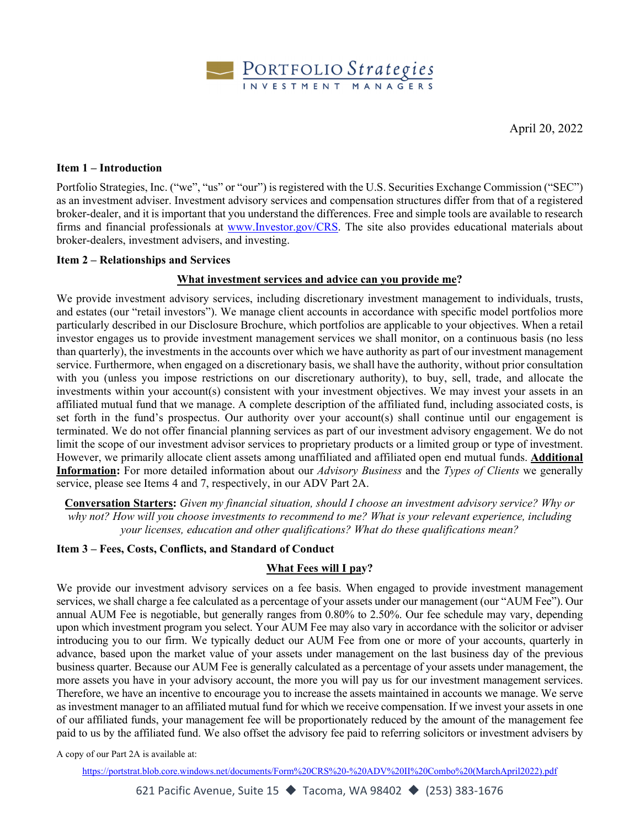

#### **Item 1 – Introduction**

Portfolio Strategies, Inc. ("we", "us" or "our") is registered with the U.S. Securities Exchange Commission ("SEC") as an investment adviser. Investment advisory services and compensation structures differ from that of a registered broker-dealer, and it is important that you understand the differences. Free and simple tools are available to research firms and financial professionals at www.Investor.gov/CRS. The site also provides educational materials about broker-dealers, investment advisers, and investing.

#### **Item 2 – Relationships and Services**

## **What investment services and advice can you provide me?**

We provide investment advisory services, including discretionary investment management to individuals, trusts, and estates (our "retail investors"). We manage client accounts in accordance with specific model portfolios more particularly described in our Disclosure Brochure, which portfolios are applicable to your objectives. When a retail investor engages us to provide investment management services we shall monitor, on a continuous basis (no less than quarterly), the investments in the accounts over which we have authority as part of our investment management service. Furthermore, when engaged on a discretionary basis, we shall have the authority, without prior consultation with you (unless you impose restrictions on our discretionary authority), to buy, sell, trade, and allocate the investments within your account(s) consistent with your investment objectives. We may invest your assets in an affiliated mutual fund that we manage. A complete description of the affiliated fund, including associated costs, is set forth in the fund's prospectus. Our authority over your account(s) shall continue until our engagement is terminated. We do not offer financial planning services as part of our investment advisory engagement. We do not limit the scope of our investment advisor services to proprietary products or a limited group or type of investment. However, we primarily allocate client assets among unaffiliated and affiliated open end mutual funds. **Additional Information:** For more detailed information about our *Advisory Business* and the *Types of Clients* we generally service, please see Items 4 and 7, respectively, in our ADV Part 2A.

**Conversation Starters:** *Given my financial situation, should I choose an investment advisory service? Why or why not? How will you choose investments to recommend to me? What is your relevant experience, including your licenses, education and other qualifications? What do these qualifications mean?*

## **Item 3 – Fees, Costs, Conflicts, and Standard of Conduct**

## **What Fees will I pay?**

We provide our investment advisory services on a fee basis. When engaged to provide investment management services, we shall charge a fee calculated as a percentage of your assets under our management (our "AUM Fee"). Our annual AUM Fee is negotiable, but generally ranges from 0.80% to 2.50%. Our fee schedule may vary, depending upon which investment program you select. Your AUM Fee may also vary in accordance with the solicitor or adviser introducing you to our firm. We typically deduct our AUM Fee from one or more of your accounts, quarterly in advance, based upon the market value of your assets under management on the last business day of the previous business quarter. Because our AUM Fee is generally calculated as a percentage of your assets under management, the more assets you have in your advisory account, the more you will pay us for our investment management services. Therefore, we have an incentive to encourage you to increase the assets maintained in accounts we manage. We serve as investment manager to an affiliated mutual fund for which we receive compensation. If we invest your assets in one of our affiliated funds, your management fee will be proportionately reduced by the amount of the management fee paid to us by the affiliated fund. We also offset the advisory fee paid to referring solicitors or investment advisers by

A copy of our Part 2A is available at:

[https://portstrat.blob.core.windows.net/documents/Form%20CRS%20-%20ADV%20II%20Combo%20\(MarchApril2022\).pdf](https://portstrat.blob.core.windows.net/documents/Form%20CRS%20-%20ADV%20II%20Combo%20(MarchApril2022).pdf)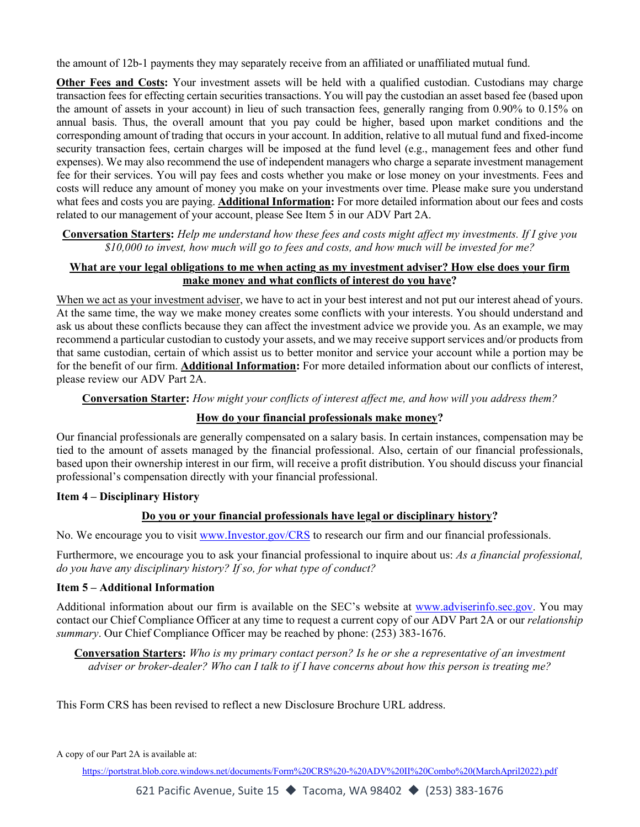the amount of 12b-1 payments they may separately receive from an affiliated or unaffiliated mutual fund.

**Other Fees and Costs:** Your investment assets will be held with a qualified custodian. Custodians may charge transaction fees for effecting certain securities transactions. You will pay the custodian an asset based fee (based upon the amount of assets in your account) in lieu of such transaction fees, generally ranging from 0.90% to 0.15% on annual basis. Thus, the overall amount that you pay could be higher, based upon market conditions and the corresponding amount of trading that occurs in your account. In addition, relative to all mutual fund and fixed-income security transaction fees, certain charges will be imposed at the fund level (e.g., management fees and other fund expenses). We may also recommend the use of independent managers who charge a separate investment management fee for their services. You will pay fees and costs whether you make or lose money on your investments. Fees and costs will reduce any amount of money you make on your investments over time. Please make sure you understand what fees and costs you are paying. **Additional Information:** For more detailed information about our fees and costs related to our management of your account, please See Item 5 in our ADV Part 2A.

**Conversation Starters:** *Help me understand how these fees and costs might affect my investments. If I give you \$10,000 to invest, how much will go to fees and costs, and how much will be invested for me?* 

## **What are your legal obligations to me when acting as my investment adviser? How else does your firm make money and what conflicts of interest do you have?**

When we act as your investment adviser, we have to act in your best interest and not put our interest ahead of yours. At the same time, the way we make money creates some conflicts with your interests. You should understand and ask us about these conflicts because they can affect the investment advice we provide you. As an example, we may recommend a particular custodian to custody your assets, and we may receive support services and/or products from that same custodian, certain of which assist us to better monitor and service your account while a portion may be for the benefit of our firm. **Additional Information:** For more detailed information about our conflicts of interest, please review our ADV Part 2A.

**Conversation Starter:** *How might your conflicts of interest affect me, and how will you address them?* 

## **How do your financial professionals make money?**

Our financial professionals are generally compensated on a salary basis. In certain instances, compensation may be tied to the amount of assets managed by the financial professional. Also, certain of our financial professionals, based upon their ownership interest in our firm, will receive a profit distribution. You should discuss your financial professional's compensation directly with your financial professional.

## **Item 4 – Disciplinary History**

## **Do you or your financial professionals have legal or disciplinary history?**

No. We encourage you to visit www.Investor.gov/CRS to research our firm and our financial professionals.

Furthermore, we encourage you to ask your financial professional to inquire about us: *As a financial professional, do you have any disciplinary history? If so, for what type of conduct?*

## **Item 5 – Additional Information**

Additional information about our firm is available on the SEC's website at www.adviserinfo.sec.gov. You may contact our Chief Compliance Officer at any time to request a current copy of our ADV Part 2A or our *relationship summary*. Our Chief Compliance Officer may be reached by phone: (253) 383-1676.

**Conversation Starters:** *Who is my primary contact person? Is he or she a representative of an investment adviser or broker-dealer? Who can I talk to if I have concerns about how this person is treating me?* 

This Form CRS has been revised to reflect a new Disclosure Brochure URL address.

A copy of our Part 2A is available at:

[https://portstrat.blob.core.windows.net/documents/Form%20CRS%20-%20ADV%20II%20Combo%20\(MarchApril2022\).pdf](https://portstrat.blob.core.windows.net/documents/Form%20CRS%20-%20ADV%20II%20Combo%20(MarchApril2022).pdf)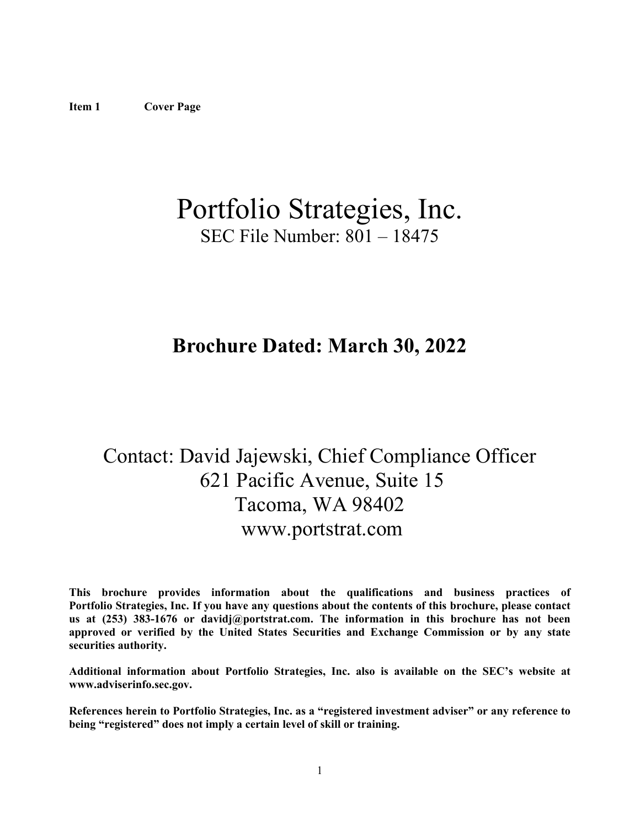# Portfolio Strategies, Inc. SEC File Number: 801 – 18475

## **Brochure Dated: March 30, 2022**

## Contact: David Jajewski, Chief Compliance Officer 621 Pacific Avenue, Suite 15 Tacoma, WA 98402 www.portstrat.com

**This brochure provides information about the qualifications and business practices of Portfolio Strategies, Inc. If you have any questions about the contents of this brochure, please contact us at (253) 383-1676 or davidj@portstrat.com. The information in this brochure has not been approved or verified by the United States Securities and Exchange Commission or by any state securities authority.** 

**Additional information about Portfolio Strategies, Inc. also is available on the SEC's website at www.adviserinfo.sec.gov.** 

**References herein to Portfolio Strategies, Inc. as a "registered investment adviser" or any reference to being "registered" does not imply a certain level of skill or training.**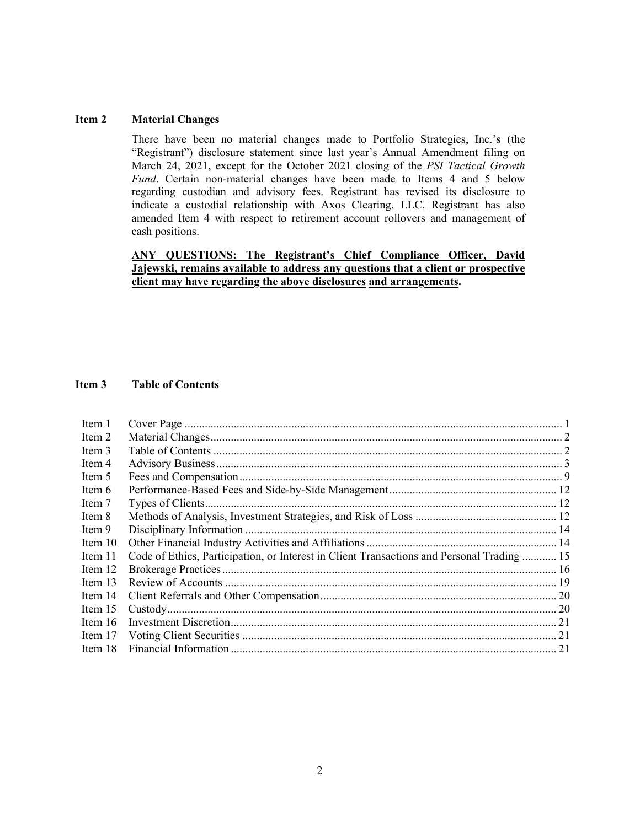#### **Item 2 Material Changes**

There have been no material changes made to Portfolio Strategies, Inc.'s (the "Registrant") disclosure statement since last year's Annual Amendment filing on March 24, 2021, except for the October 2021 closing of the *PSI Tactical Growth Fund*. Certain non-material changes have been made to Items 4 and 5 below regarding custodian and advisory fees. Registrant has revised its disclosure to indicate a custodial relationship with Axos Clearing, LLC. Registrant has also amended Item 4 with respect to retirement account rollovers and management of cash positions.

## **ANY QUESTIONS: The Registrant's Chief Compliance Officer, David Jajewski, remains available to address any questions that a client or prospective client may have regarding the above disclosures and arrangements.**

## **Item 3 Table of Contents**

| Item 1    |                                                                                            |  |
|-----------|--------------------------------------------------------------------------------------------|--|
| Item 2    |                                                                                            |  |
| Item 3    |                                                                                            |  |
| Item 4    |                                                                                            |  |
| Item 5    |                                                                                            |  |
| Item 6    |                                                                                            |  |
| Item 7    |                                                                                            |  |
| Item 8    |                                                                                            |  |
| Item 9    |                                                                                            |  |
| Item $10$ |                                                                                            |  |
| Item 11   | Code of Ethics, Participation, or Interest in Client Transactions and Personal Trading  15 |  |
| Item 12   |                                                                                            |  |
| Item 13   |                                                                                            |  |
| Item 14   |                                                                                            |  |
| Item 15   |                                                                                            |  |
| Item $16$ |                                                                                            |  |
| Item 17   |                                                                                            |  |
| Item 18   |                                                                                            |  |
|           |                                                                                            |  |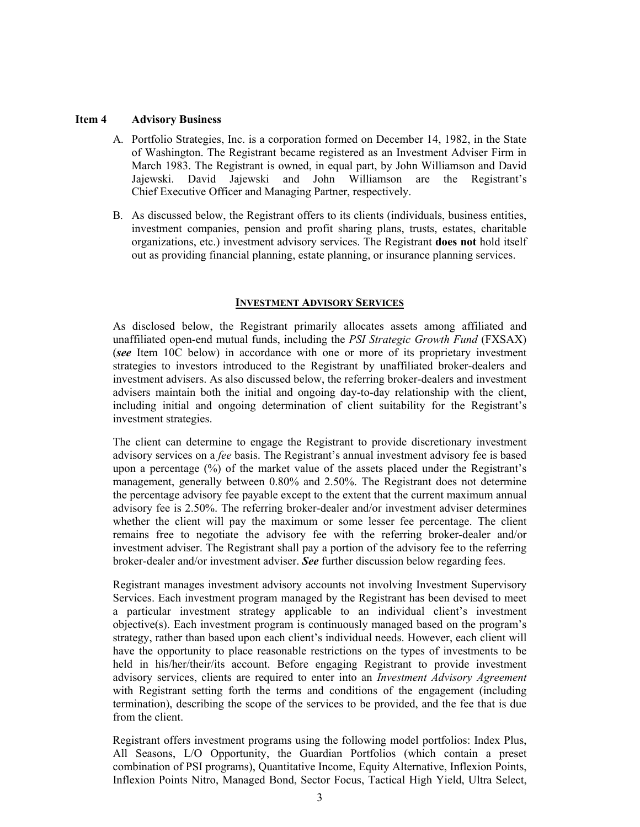#### **Item 4 Advisory Business**

- A. Portfolio Strategies, Inc. is a corporation formed on December 14, 1982, in the State of Washington. The Registrant became registered as an Investment Adviser Firm in March 1983. The Registrant is owned, in equal part, by John Williamson and David Jajewski. David Jajewski and John Williamson are the Registrant's Chief Executive Officer and Managing Partner, respectively.
- B. As discussed below, the Registrant offers to its clients (individuals, business entities, investment companies, pension and profit sharing plans, trusts, estates, charitable organizations, etc.) investment advisory services. The Registrant **does not** hold itself out as providing financial planning, estate planning, or insurance planning services.

#### **INVESTMENT ADVISORY SERVICES**

As disclosed below, the Registrant primarily allocates assets among affiliated and unaffiliated open-end mutual funds, including the *PSI Strategic Growth Fund* (FXSAX) (*see* Item 10C below) in accordance with one or more of its proprietary investment strategies to investors introduced to the Registrant by unaffiliated broker-dealers and investment advisers. As also discussed below, the referring broker-dealers and investment advisers maintain both the initial and ongoing day-to-day relationship with the client, including initial and ongoing determination of client suitability for the Registrant's investment strategies.

The client can determine to engage the Registrant to provide discretionary investment advisory services on a *fee* basis. The Registrant's annual investment advisory fee is based upon a percentage (%) of the market value of the assets placed under the Registrant's management, generally between 0.80% and 2.50%. The Registrant does not determine the percentage advisory fee payable except to the extent that the current maximum annual advisory fee is 2.50%. The referring broker-dealer and/or investment adviser determines whether the client will pay the maximum or some lesser fee percentage. The client remains free to negotiate the advisory fee with the referring broker-dealer and/or investment adviser. The Registrant shall pay a portion of the advisory fee to the referring broker-dealer and/or investment adviser. *See* further discussion below regarding fees.

Registrant manages investment advisory accounts not involving Investment Supervisory Services. Each investment program managed by the Registrant has been devised to meet a particular investment strategy applicable to an individual client's investment objective(s). Each investment program is continuously managed based on the program's strategy, rather than based upon each client's individual needs. However, each client will have the opportunity to place reasonable restrictions on the types of investments to be held in his/her/their/its account. Before engaging Registrant to provide investment advisory services, clients are required to enter into an *Investment Advisory Agreement*  with Registrant setting forth the terms and conditions of the engagement (including termination), describing the scope of the services to be provided, and the fee that is due from the client.

Registrant offers investment programs using the following model portfolios: Index Plus, All Seasons, L/O Opportunity, the Guardian Portfolios (which contain a preset combination of PSI programs), Quantitative Income, Equity Alternative, Inflexion Points, Inflexion Points Nitro, Managed Bond, Sector Focus, Tactical High Yield, Ultra Select,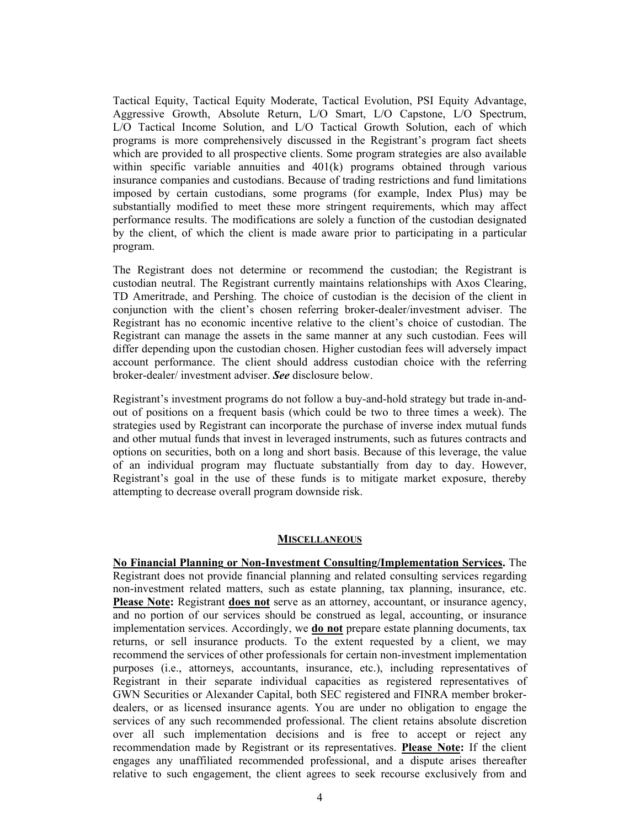Tactical Equity, Tactical Equity Moderate, Tactical Evolution, PSI Equity Advantage, Aggressive Growth, Absolute Return, L/O Smart, L/O Capstone, L/O Spectrum, L/O Tactical Income Solution, and L/O Tactical Growth Solution, each of which programs is more comprehensively discussed in the Registrant's program fact sheets which are provided to all prospective clients. Some program strategies are also available within specific variable annuities and 401(k) programs obtained through various insurance companies and custodians. Because of trading restrictions and fund limitations imposed by certain custodians, some programs (for example, Index Plus) may be substantially modified to meet these more stringent requirements, which may affect performance results. The modifications are solely a function of the custodian designated by the client, of which the client is made aware prior to participating in a particular program.

The Registrant does not determine or recommend the custodian; the Registrant is custodian neutral. The Registrant currently maintains relationships with Axos Clearing, TD Ameritrade, and Pershing. The choice of custodian is the decision of the client in conjunction with the client's chosen referring broker-dealer/investment adviser. The Registrant has no economic incentive relative to the client's choice of custodian. The Registrant can manage the assets in the same manner at any such custodian. Fees will differ depending upon the custodian chosen. Higher custodian fees will adversely impact account performance. The client should address custodian choice with the referring broker-dealer/ investment adviser. *See* disclosure below.

Registrant's investment programs do not follow a buy-and-hold strategy but trade in-andout of positions on a frequent basis (which could be two to three times a week). The strategies used by Registrant can incorporate the purchase of inverse index mutual funds and other mutual funds that invest in leveraged instruments, such as futures contracts and options on securities, both on a long and short basis. Because of this leverage, the value of an individual program may fluctuate substantially from day to day. However, Registrant's goal in the use of these funds is to mitigate market exposure, thereby attempting to decrease overall program downside risk.

#### **MISCELLANEOUS**

**No Financial Planning or Non-Investment Consulting/Implementation Services.** The Registrant does not provide financial planning and related consulting services regarding non-investment related matters, such as estate planning, tax planning, insurance, etc. **Please Note:** Registrant **does not** serve as an attorney, accountant, or insurance agency, and no portion of our services should be construed as legal, accounting, or insurance implementation services. Accordingly, we **do not** prepare estate planning documents, tax returns, or sell insurance products. To the extent requested by a client, we may recommend the services of other professionals for certain non-investment implementation purposes (i.e., attorneys, accountants, insurance, etc.), including representatives of Registrant in their separate individual capacities as registered representatives of GWN Securities or Alexander Capital, both SEC registered and FINRA member brokerdealers, or as licensed insurance agents. You are under no obligation to engage the services of any such recommended professional. The client retains absolute discretion over all such implementation decisions and is free to accept or reject any recommendation made by Registrant or its representatives. **Please Note:** If the client engages any unaffiliated recommended professional, and a dispute arises thereafter relative to such engagement, the client agrees to seek recourse exclusively from and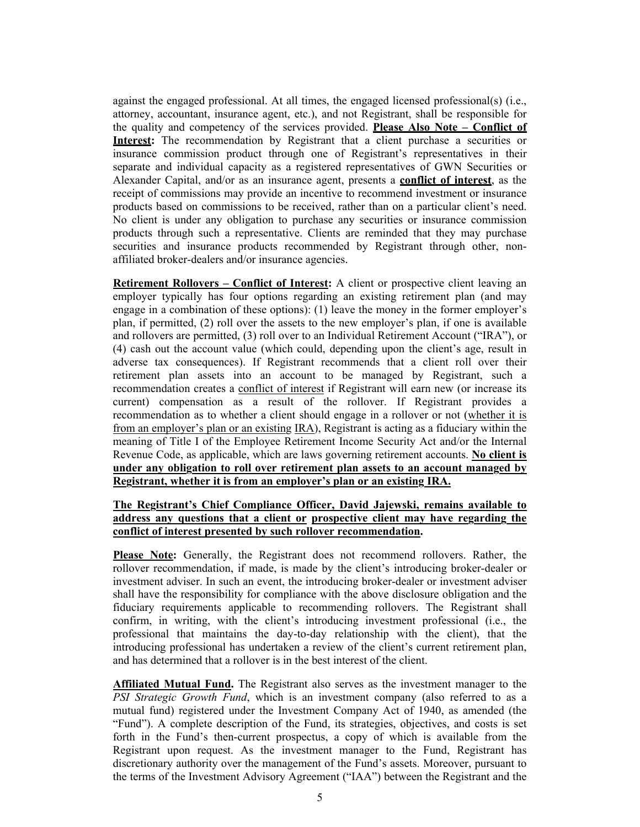against the engaged professional. At all times, the engaged licensed professional(s) (i.e., attorney, accountant, insurance agent, etc.), and not Registrant, shall be responsible for the quality and competency of the services provided. **Please Also Note – Conflict of Interest:** The recommendation by Registrant that a client purchase a securities or insurance commission product through one of Registrant's representatives in their separate and individual capacity as a registered representatives of GWN Securities or Alexander Capital, and/or as an insurance agent, presents a **conflict of interest**, as the receipt of commissions may provide an incentive to recommend investment or insurance products based on commissions to be received, rather than on a particular client's need. No client is under any obligation to purchase any securities or insurance commission products through such a representative. Clients are reminded that they may purchase securities and insurance products recommended by Registrant through other, nonaffiliated broker-dealers and/or insurance agencies.

**Retirement Rollovers – Conflict of Interest:** A client or prospective client leaving an employer typically has four options regarding an existing retirement plan (and may engage in a combination of these options): (1) leave the money in the former employer's plan, if permitted, (2) roll over the assets to the new employer's plan, if one is available and rollovers are permitted, (3) roll over to an Individual Retirement Account ("IRA"), or (4) cash out the account value (which could, depending upon the client's age, result in adverse tax consequences). If Registrant recommends that a client roll over their retirement plan assets into an account to be managed by Registrant, such a recommendation creates a conflict of interest if Registrant will earn new (or increase its current) compensation as a result of the rollover. If Registrant provides a recommendation as to whether a client should engage in a rollover or not (whether it is from an employer's plan or an existing IRA), Registrant is acting as a fiduciary within the meaning of Title I of the Employee Retirement Income Security Act and/or the Internal Revenue Code, as applicable, which are laws governing retirement accounts. **No client is under any obligation to roll over retirement plan assets to an account managed by Registrant, whether it is from an employer's plan or an existing IRA.** 

## **The Registrant's Chief Compliance Officer, David Jajewski, remains available to address any questions that a client or prospective client may have regarding the conflict of interest presented by such rollover recommendation.**

**Please Note:** Generally, the Registrant does not recommend rollovers. Rather, the rollover recommendation, if made, is made by the client's introducing broker-dealer or investment adviser. In such an event, the introducing broker-dealer or investment adviser shall have the responsibility for compliance with the above disclosure obligation and the fiduciary requirements applicable to recommending rollovers. The Registrant shall confirm, in writing, with the client's introducing investment professional (i.e., the professional that maintains the day-to-day relationship with the client), that the introducing professional has undertaken a review of the client's current retirement plan, and has determined that a rollover is in the best interest of the client.

**Affiliated Mutual Fund.** The Registrant also serves as the investment manager to the *PSI Strategic Growth Fund*, which is an investment company (also referred to as a mutual fund) registered under the Investment Company Act of 1940, as amended (the "Fund"). A complete description of the Fund, its strategies, objectives, and costs is set forth in the Fund's then-current prospectus, a copy of which is available from the Registrant upon request. As the investment manager to the Fund, Registrant has discretionary authority over the management of the Fund's assets. Moreover, pursuant to the terms of the Investment Advisory Agreement ("IAA") between the Registrant and the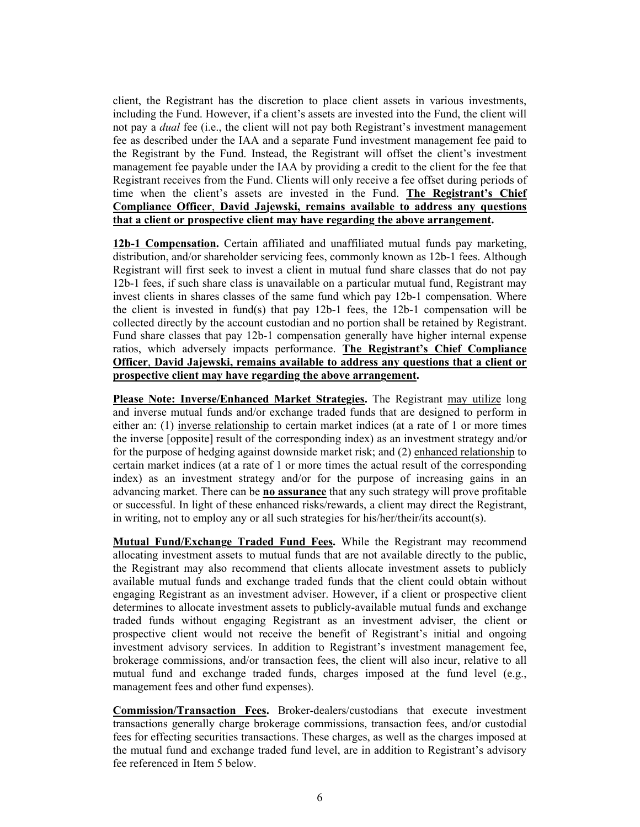client, the Registrant has the discretion to place client assets in various investments, including the Fund. However, if a client's assets are invested into the Fund, the client will not pay a *dual* fee (i.e., the client will not pay both Registrant's investment management fee as described under the IAA and a separate Fund investment management fee paid to the Registrant by the Fund. Instead, the Registrant will offset the client's investment management fee payable under the IAA by providing a credit to the client for the fee that Registrant receives from the Fund. Clients will only receive a fee offset during periods of time when the client's assets are invested in the Fund. **The Registrant's Chief Compliance Officer**, **David Jajewski, remains available to address any questions that a client or prospective client may have regarding the above arrangement.**

**12b-1 Compensation.** Certain affiliated and unaffiliated mutual funds pay marketing, distribution, and/or shareholder servicing fees, commonly known as 12b-1 fees. Although Registrant will first seek to invest a client in mutual fund share classes that do not pay 12b-1 fees, if such share class is unavailable on a particular mutual fund, Registrant may invest clients in shares classes of the same fund which pay 12b-1 compensation. Where the client is invested in fund(s) that pay 12b-1 fees, the 12b-1 compensation will be collected directly by the account custodian and no portion shall be retained by Registrant. Fund share classes that pay 12b-1 compensation generally have higher internal expense ratios, which adversely impacts performance. **The Registrant's Chief Compliance Officer**, **David Jajewski, remains available to address any questions that a client or prospective client may have regarding the above arrangement.** 

**Please Note: Inverse/Enhanced Market Strategies.** The Registrant may utilize long and inverse mutual funds and/or exchange traded funds that are designed to perform in either an: (1) inverse relationship to certain market indices (at a rate of 1 or more times the inverse [opposite] result of the corresponding index) as an investment strategy and/or for the purpose of hedging against downside market risk; and (2) enhanced relationship to certain market indices (at a rate of 1 or more times the actual result of the corresponding index) as an investment strategy and/or for the purpose of increasing gains in an advancing market. There can be **no assurance** that any such strategy will prove profitable or successful. In light of these enhanced risks/rewards, a client may direct the Registrant, in writing, not to employ any or all such strategies for his/her/their/its account(s).

**Mutual Fund/Exchange Traded Fund Fees.** While the Registrant may recommend allocating investment assets to mutual funds that are not available directly to the public, the Registrant may also recommend that clients allocate investment assets to publicly available mutual funds and exchange traded funds that the client could obtain without engaging Registrant as an investment adviser. However, if a client or prospective client determines to allocate investment assets to publicly-available mutual funds and exchange traded funds without engaging Registrant as an investment adviser, the client or prospective client would not receive the benefit of Registrant's initial and ongoing investment advisory services. In addition to Registrant's investment management fee, brokerage commissions, and/or transaction fees, the client will also incur, relative to all mutual fund and exchange traded funds, charges imposed at the fund level (e.g., management fees and other fund expenses).

**Commission/Transaction Fees.** Broker-dealers/custodians that execute investment transactions generally charge brokerage commissions, transaction fees, and/or custodial fees for effecting securities transactions. These charges, as well as the charges imposed at the mutual fund and exchange traded fund level, are in addition to Registrant's advisory fee referenced in Item 5 below.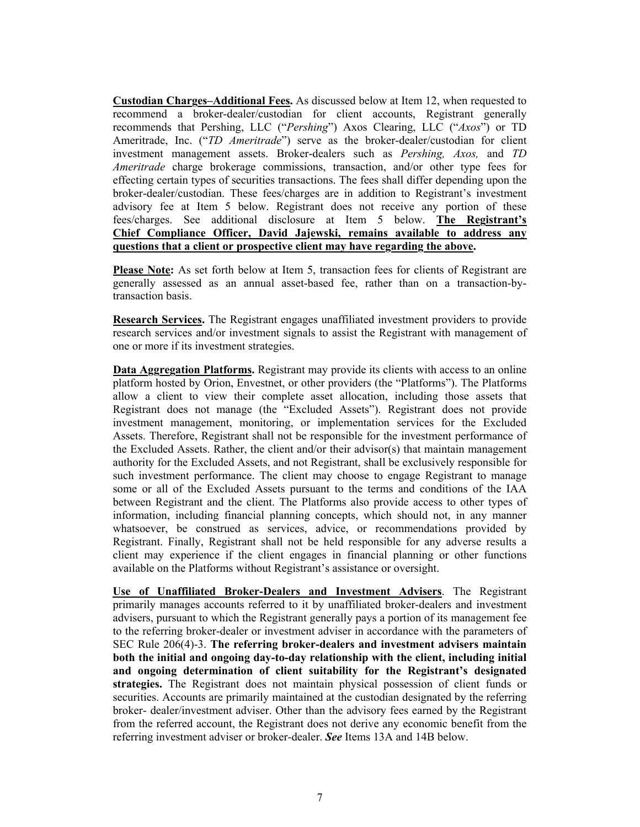**Custodian Charges–Additional Fees.** As discussed below at Item 12, when requested to recommend a broker-dealer/custodian for client accounts, Registrant generally recommends that Pershing, LLC ("*Pershing*") Axos Clearing, LLC ("*Axos*") or TD Ameritrade, Inc. ("*TD Ameritrade*") serve as the broker-dealer/custodian for client investment management assets. Broker-dealers such as *Pershing, Axos,* and *TD Ameritrade* charge brokerage commissions, transaction, and/or other type fees for effecting certain types of securities transactions. The fees shall differ depending upon the broker-dealer/custodian. These fees/charges are in addition to Registrant's investment advisory fee at Item 5 below. Registrant does not receive any portion of these fees/charges. See additional disclosure at Item 5 below. **The Registrant's Chief Compliance Officer, David Jajewski, remains available to address any questions that a client or prospective client may have regarding the above.** 

**Please Note:** As set forth below at Item 5, transaction fees for clients of Registrant are generally assessed as an annual asset-based fee, rather than on a transaction-bytransaction basis.

**Research Services.** The Registrant engages unaffiliated investment providers to provide research services and/or investment signals to assist the Registrant with management of one or more if its investment strategies.

**Data Aggregation Platforms.** Registrant may provide its clients with access to an online platform hosted by Orion, Envestnet, or other providers (the "Platforms"). The Platforms allow a client to view their complete asset allocation, including those assets that Registrant does not manage (the "Excluded Assets"). Registrant does not provide investment management, monitoring, or implementation services for the Excluded Assets. Therefore, Registrant shall not be responsible for the investment performance of the Excluded Assets. Rather, the client and/or their advisor(s) that maintain management authority for the Excluded Assets, and not Registrant, shall be exclusively responsible for such investment performance. The client may choose to engage Registrant to manage some or all of the Excluded Assets pursuant to the terms and conditions of the IAA between Registrant and the client. The Platforms also provide access to other types of information, including financial planning concepts, which should not, in any manner whatsoever, be construed as services, advice, or recommendations provided by Registrant. Finally, Registrant shall not be held responsible for any adverse results a client may experience if the client engages in financial planning or other functions available on the Platforms without Registrant's assistance or oversight.

**Use of Unaffiliated Broker-Dealers and Investment Advisers**. The Registrant primarily manages accounts referred to it by unaffiliated broker-dealers and investment advisers, pursuant to which the Registrant generally pays a portion of its management fee to the referring broker-dealer or investment adviser in accordance with the parameters of SEC Rule 206(4)-3. **The referring broker-dealers and investment advisers maintain both the initial and ongoing day-to-day relationship with the client, including initial and ongoing determination of client suitability for the Registrant's designated strategies.** The Registrant does not maintain physical possession of client funds or securities. Accounts are primarily maintained at the custodian designated by the referring broker- dealer/investment adviser. Other than the advisory fees earned by the Registrant from the referred account, the Registrant does not derive any economic benefit from the referring investment adviser or broker-dealer. *See* Items 13A and 14B below.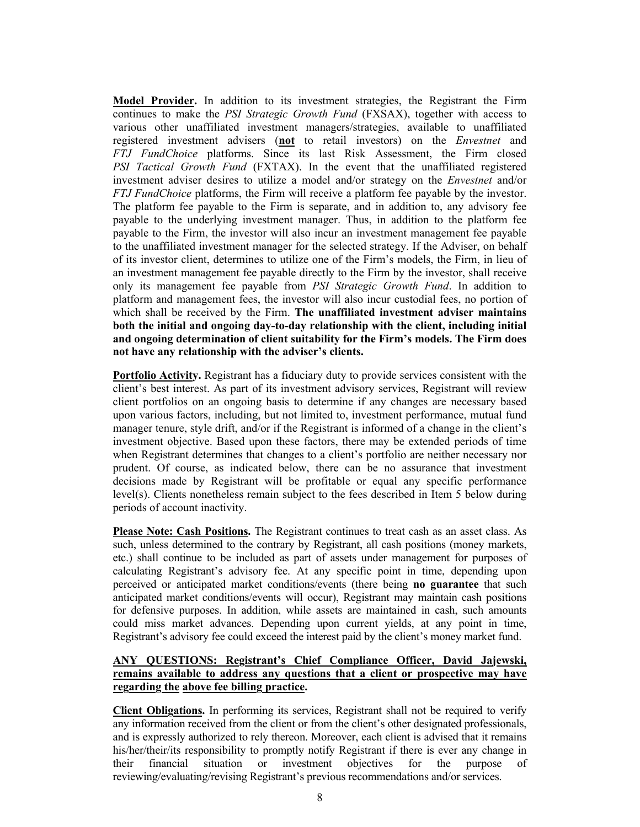**Model Provider.** In addition to its investment strategies, the Registrant the Firm continues to make the *PSI Strategic Growth Fund* (FXSAX), together with access to various other unaffiliated investment managers/strategies, available to unaffiliated registered investment advisers (**not** to retail investors) on the *Envestnet* and *FTJ FundChoice* platforms. Since its last Risk Assessment, the Firm closed *PSI Tactical Growth Fund* (FXTAX). In the event that the unaffiliated registered investment adviser desires to utilize a model and/or strategy on the *Envestnet* and/or *FTJ FundChoice* platforms, the Firm will receive a platform fee payable by the investor. The platform fee payable to the Firm is separate, and in addition to, any advisory fee payable to the underlying investment manager. Thus, in addition to the platform fee payable to the Firm, the investor will also incur an investment management fee payable to the unaffiliated investment manager for the selected strategy. If the Adviser, on behalf of its investor client, determines to utilize one of the Firm's models, the Firm, in lieu of an investment management fee payable directly to the Firm by the investor, shall receive only its management fee payable from *PSI Strategic Growth Fund*. In addition to platform and management fees, the investor will also incur custodial fees, no portion of which shall be received by the Firm. **The unaffiliated investment adviser maintains both the initial and ongoing day-to-day relationship with the client, including initial and ongoing determination of client suitability for the Firm's models. The Firm does not have any relationship with the adviser's clients.** 

**Portfolio Activity.** Registrant has a fiduciary duty to provide services consistent with the client's best interest. As part of its investment advisory services, Registrant will review client portfolios on an ongoing basis to determine if any changes are necessary based upon various factors, including, but not limited to, investment performance, mutual fund manager tenure, style drift, and/or if the Registrant is informed of a change in the client's investment objective. Based upon these factors, there may be extended periods of time when Registrant determines that changes to a client's portfolio are neither necessary nor prudent. Of course, as indicated below, there can be no assurance that investment decisions made by Registrant will be profitable or equal any specific performance level(s). Clients nonetheless remain subject to the fees described in Item 5 below during periods of account inactivity.

**Please Note: Cash Positions.** The Registrant continues to treat cash as an asset class. As such, unless determined to the contrary by Registrant, all cash positions (money markets, etc.) shall continue to be included as part of assets under management for purposes of calculating Registrant's advisory fee. At any specific point in time, depending upon perceived or anticipated market conditions/events (there being **no guarantee** that such anticipated market conditions/events will occur), Registrant may maintain cash positions for defensive purposes. In addition, while assets are maintained in cash, such amounts could miss market advances. Depending upon current yields, at any point in time, Registrant's advisory fee could exceed the interest paid by the client's money market fund.

## **ANY QUESTIONS: Registrant's Chief Compliance Officer, David Jajewski, remains available to address any questions that a client or prospective may have regarding the above fee billing practice.**

**Client Obligations.** In performing its services, Registrant shall not be required to verify any information received from the client or from the client's other designated professionals, and is expressly authorized to rely thereon. Moreover, each client is advised that it remains his/her/their/its responsibility to promptly notify Registrant if there is ever any change in their financial situation or investment objectives for the purpose of reviewing/evaluating/revising Registrant's previous recommendations and/or services.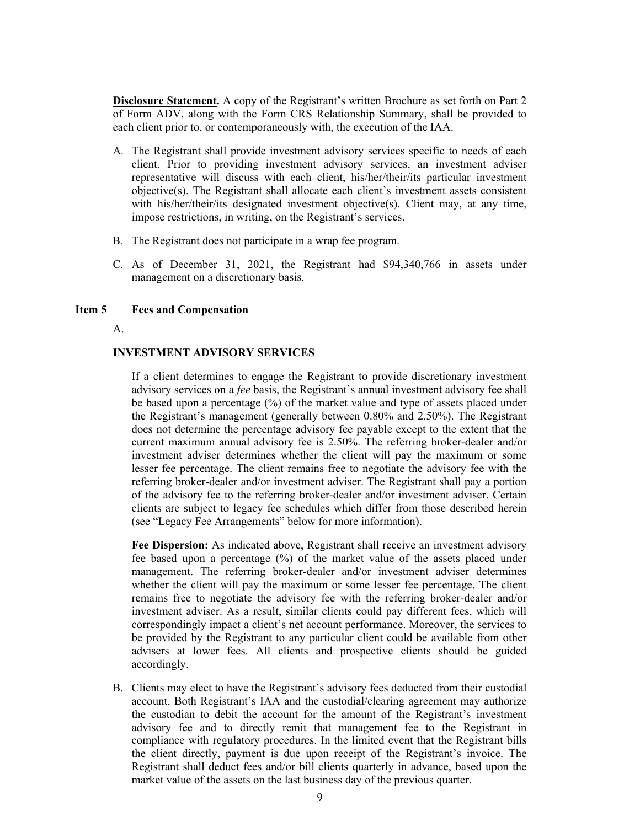**Disclosure Statement.** A copy of the Registrant's written Brochure as set forth on Part 2 of Form ADV, along with the Form CRS Relationship Summary, shall be provided to each client prior to, or contemporaneously with, the execution of the IAA.

- A. The Registrant shall provide investment advisory services specific to needs of each client. Prior to providing investment advisory services, an investment adviser representative will discuss with each client, his/her/their/its particular investment objective(s). The Registrant shall allocate each client's investment assets consistent with his/her/their/its designated investment objective(s). Client may, at any time, impose restrictions, in writing, on the Registrant's services.
- B. The Registrant does not participate in a wrap fee program.
- C. As of December 31, 2021, the Registrant had \$94,340,766 in assets under management on a discretionary basis.

#### **Item 5 Fees and Compensation**

A.

#### **INVESTMENT ADVISORY SERVICES**

If a client determines to engage the Registrant to provide discretionary investment advisory services on a *fee* basis, the Registrant's annual investment advisory fee shall be based upon a percentage (%) of the market value and type of assets placed under the Registrant's management (generally between 0.80% and 2.50%). The Registrant does not determine the percentage advisory fee payable except to the extent that the current maximum annual advisory fee is 2.50%. The referring broker-dealer and/or investment adviser determines whether the client will pay the maximum or some lesser fee percentage. The client remains free to negotiate the advisory fee with the referring broker-dealer and/or investment adviser. The Registrant shall pay a portion of the advisory fee to the referring broker-dealer and/or investment adviser. Certain clients are subject to legacy fee schedules which differ from those described herein (see "Legacy Fee Arrangements" below for more information).

**Fee Dispersion:** As indicated above, Registrant shall receive an investment advisory fee based upon a percentage (%) of the market value of the assets placed under management. The referring broker-dealer and/or investment adviser determines whether the client will pay the maximum or some lesser fee percentage. The client remains free to negotiate the advisory fee with the referring broker-dealer and/or investment adviser. As a result, similar clients could pay different fees, which will correspondingly impact a client's net account performance. Moreover, the services to be provided by the Registrant to any particular client could be available from other advisers at lower fees. All clients and prospective clients should be guided accordingly.

B. Clients may elect to have the Registrant's advisory fees deducted from their custodial account. Both Registrant's IAA and the custodial/clearing agreement may authorize the custodian to debit the account for the amount of the Registrant's investment advisory fee and to directly remit that management fee to the Registrant in compliance with regulatory procedures. In the limited event that the Registrant bills the client directly, payment is due upon receipt of the Registrant's invoice. The Registrant shall deduct fees and/or bill clients quarterly in advance, based upon the market value of the assets on the last business day of the previous quarter.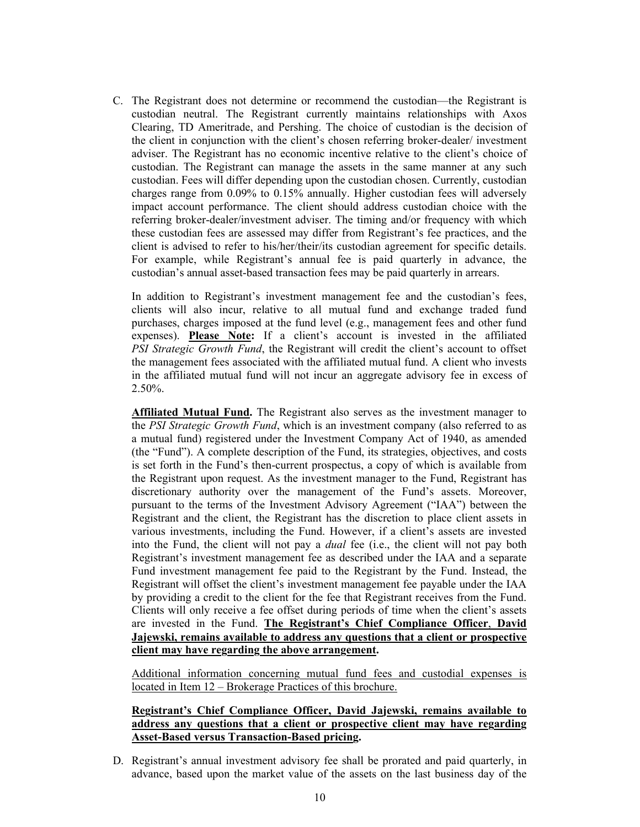C. The Registrant does not determine or recommend the custodian—the Registrant is custodian neutral. The Registrant currently maintains relationships with Axos Clearing, TD Ameritrade, and Pershing. The choice of custodian is the decision of the client in conjunction with the client's chosen referring broker-dealer/ investment adviser. The Registrant has no economic incentive relative to the client's choice of custodian. The Registrant can manage the assets in the same manner at any such custodian. Fees will differ depending upon the custodian chosen. Currently, custodian charges range from 0.09% to 0.15% annually. Higher custodian fees will adversely impact account performance. The client should address custodian choice with the referring broker-dealer/investment adviser. The timing and/or frequency with which these custodian fees are assessed may differ from Registrant's fee practices, and the client is advised to refer to his/her/their/its custodian agreement for specific details. For example, while Registrant's annual fee is paid quarterly in advance, the custodian's annual asset-based transaction fees may be paid quarterly in arrears.

In addition to Registrant's investment management fee and the custodian's fees, clients will also incur, relative to all mutual fund and exchange traded fund purchases, charges imposed at the fund level (e.g., management fees and other fund expenses). **Please Note:** If a client's account is invested in the affiliated *PSI Strategic Growth Fund*, the Registrant will credit the client's account to offset the management fees associated with the affiliated mutual fund. A client who invests in the affiliated mutual fund will not incur an aggregate advisory fee in excess of 2.50%.

**Affiliated Mutual Fund.** The Registrant also serves as the investment manager to the *PSI Strategic Growth Fund*, which is an investment company (also referred to as a mutual fund) registered under the Investment Company Act of 1940, as amended (the "Fund"). A complete description of the Fund, its strategies, objectives, and costs is set forth in the Fund's then-current prospectus, a copy of which is available from the Registrant upon request. As the investment manager to the Fund, Registrant has discretionary authority over the management of the Fund's assets. Moreover, pursuant to the terms of the Investment Advisory Agreement ("IAA") between the Registrant and the client, the Registrant has the discretion to place client assets in various investments, including the Fund. However, if a client's assets are invested into the Fund, the client will not pay a *dual* fee (i.e., the client will not pay both Registrant's investment management fee as described under the IAA and a separate Fund investment management fee paid to the Registrant by the Fund. Instead, the Registrant will offset the client's investment management fee payable under the IAA by providing a credit to the client for the fee that Registrant receives from the Fund. Clients will only receive a fee offset during periods of time when the client's assets are invested in the Fund. **The Registrant's Chief Compliance Officer**, **David Jajewski, remains available to address any questions that a client or prospective client may have regarding the above arrangement.**

Additional information concerning mutual fund fees and custodial expenses is located in Item 12 – Brokerage Practices of this brochure.

## **Registrant's Chief Compliance Officer, David Jajewski, remains available to address any questions that a client or prospective client may have regarding Asset-Based versus Transaction-Based pricing.**

D. Registrant's annual investment advisory fee shall be prorated and paid quarterly, in advance, based upon the market value of the assets on the last business day of the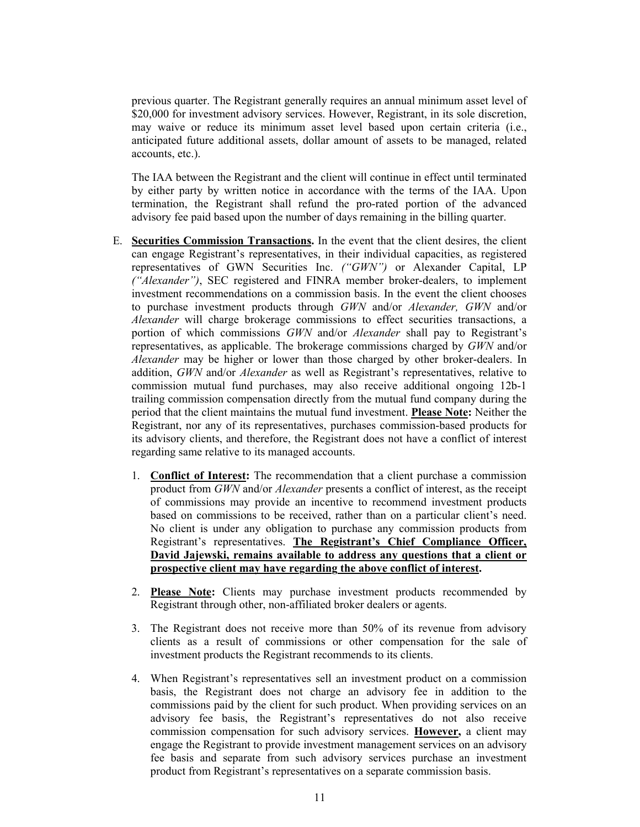previous quarter. The Registrant generally requires an annual minimum asset level of \$20,000 for investment advisory services. However, Registrant, in its sole discretion, may waive or reduce its minimum asset level based upon certain criteria (i.e., anticipated future additional assets, dollar amount of assets to be managed, related accounts, etc.).

The IAA between the Registrant and the client will continue in effect until terminated by either party by written notice in accordance with the terms of the IAA. Upon termination, the Registrant shall refund the pro-rated portion of the advanced advisory fee paid based upon the number of days remaining in the billing quarter.

- E. **Securities Commission Transactions.** In the event that the client desires, the client can engage Registrant's representatives, in their individual capacities, as registered representatives of GWN Securities Inc. *("GWN")* or Alexander Capital, LP *("Alexander")*, SEC registered and FINRA member broker-dealers, to implement investment recommendations on a commission basis. In the event the client chooses to purchase investment products through *GWN* and/or *Alexander, GWN* and/or *Alexander* will charge brokerage commissions to effect securities transactions, a portion of which commissions *GWN* and/or *Alexander* shall pay to Registrant's representatives, as applicable. The brokerage commissions charged by *GWN* and/or *Alexander* may be higher or lower than those charged by other broker-dealers. In addition, *GWN* and/or *Alexander* as well as Registrant's representatives, relative to commission mutual fund purchases, may also receive additional ongoing 12b-1 trailing commission compensation directly from the mutual fund company during the period that the client maintains the mutual fund investment. **Please Note:** Neither the Registrant, nor any of its representatives, purchases commission-based products for its advisory clients, and therefore, the Registrant does not have a conflict of interest regarding same relative to its managed accounts.
	- 1. **Conflict of Interest:** The recommendation that a client purchase a commission product from *GWN* and/or *Alexander* presents a conflict of interest, as the receipt of commissions may provide an incentive to recommend investment products based on commissions to be received, rather than on a particular client's need. No client is under any obligation to purchase any commission products from Registrant's representatives. **The Registrant's Chief Compliance Officer, David Jajewski, remains available to address any questions that a client or prospective client may have regarding the above conflict of interest.**
	- 2. **Please Note:** Clients may purchase investment products recommended by Registrant through other, non-affiliated broker dealers or agents.
	- 3. The Registrant does not receive more than 50% of its revenue from advisory clients as a result of commissions or other compensation for the sale of investment products the Registrant recommends to its clients.
	- 4. When Registrant's representatives sell an investment product on a commission basis, the Registrant does not charge an advisory fee in addition to the commissions paid by the client for such product. When providing services on an advisory fee basis, the Registrant's representatives do not also receive commission compensation for such advisory services. **However,** a client may engage the Registrant to provide investment management services on an advisory fee basis and separate from such advisory services purchase an investment product from Registrant's representatives on a separate commission basis.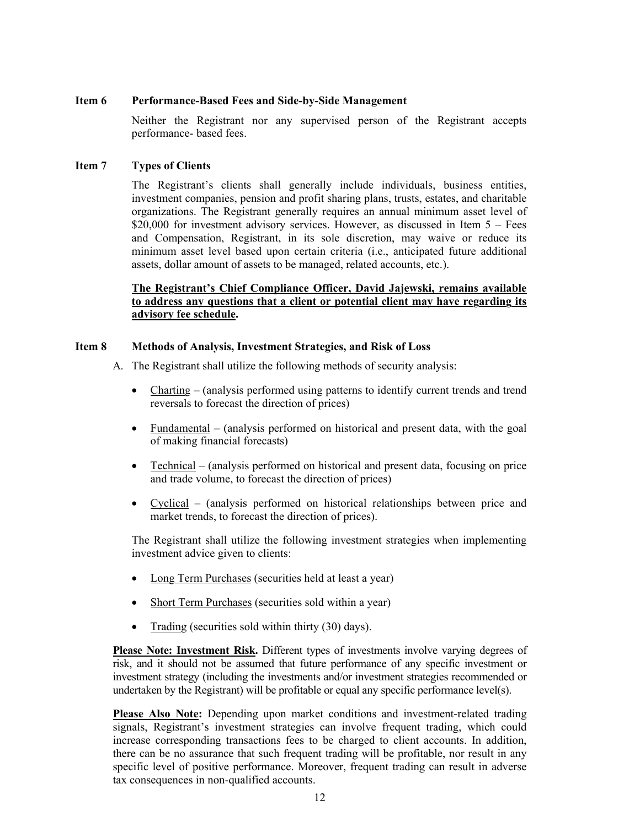#### **Item 6 Performance-Based Fees and Side-by-Side Management**

Neither the Registrant nor any supervised person of the Registrant accepts performance- based fees.

#### **Item 7 Types of Clients**

The Registrant's clients shall generally include individuals, business entities, investment companies, pension and profit sharing plans, trusts, estates, and charitable organizations. The Registrant generally requires an annual minimum asset level of \$20,000 for investment advisory services. However, as discussed in Item  $5 - \text{Fees}$ and Compensation, Registrant, in its sole discretion, may waive or reduce its minimum asset level based upon certain criteria (i.e., anticipated future additional assets, dollar amount of assets to be managed, related accounts, etc.).

## **The Registrant's Chief Compliance Officer, David Jajewski, remains available to address any questions that a client or potential client may have regarding its advisory fee schedule.**

#### **Item 8 Methods of Analysis, Investment Strategies, and Risk of Loss**

- A. The Registrant shall utilize the following methods of security analysis:
	- Charting (analysis performed using patterns to identify current trends and trend reversals to forecast the direction of prices)
	- Fundamental (analysis performed on historical and present data, with the goal of making financial forecasts)
	- Technical (analysis performed on historical and present data, focusing on price and trade volume, to forecast the direction of prices)
	- Cyclical (analysis performed on historical relationships between price and market trends, to forecast the direction of prices).

The Registrant shall utilize the following investment strategies when implementing investment advice given to clients:

- Long Term Purchases (securities held at least a year)
- Short Term Purchases (securities sold within a year)
- Trading (securities sold within thirty (30) days).

**Please Note: Investment Risk.** Different types of investments involve varying degrees of risk, and it should not be assumed that future performance of any specific investment or investment strategy (including the investments and/or investment strategies recommended or undertaken by the Registrant) will be profitable or equal any specific performance level(s).

**Please Also Note:** Depending upon market conditions and investment-related trading signals, Registrant's investment strategies can involve frequent trading, which could increase corresponding transactions fees to be charged to client accounts. In addition, there can be no assurance that such frequent trading will be profitable, nor result in any specific level of positive performance. Moreover, frequent trading can result in adverse tax consequences in non-qualified accounts.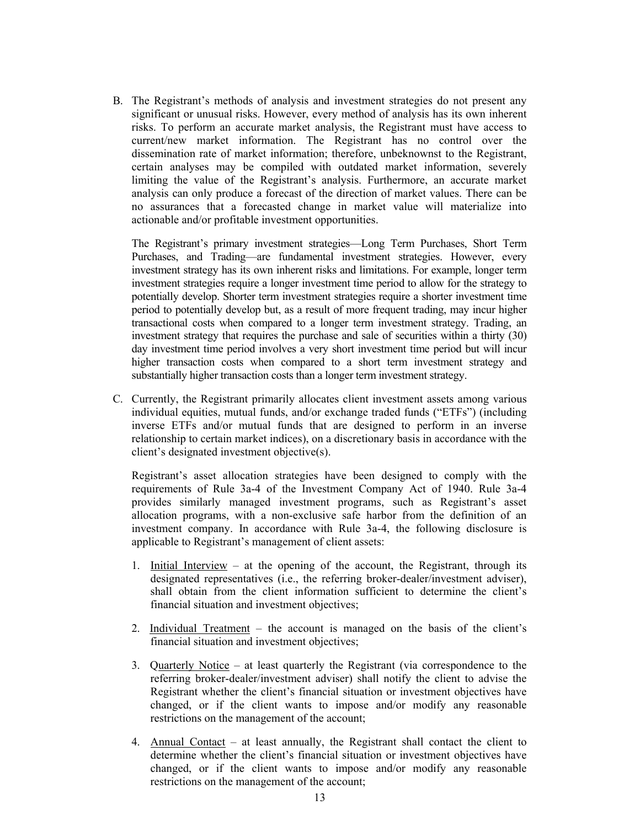B. The Registrant's methods of analysis and investment strategies do not present any significant or unusual risks. However, every method of analysis has its own inherent risks. To perform an accurate market analysis, the Registrant must have access to current/new market information. The Registrant has no control over the dissemination rate of market information; therefore, unbeknownst to the Registrant, certain analyses may be compiled with outdated market information, severely limiting the value of the Registrant's analysis. Furthermore, an accurate market analysis can only produce a forecast of the direction of market values. There can be no assurances that a forecasted change in market value will materialize into actionable and/or profitable investment opportunities.

 The Registrant's primary investment strategies—Long Term Purchases, Short Term Purchases, and Trading—are fundamental investment strategies. However, every investment strategy has its own inherent risks and limitations. For example, longer term investment strategies require a longer investment time period to allow for the strategy to potentially develop. Shorter term investment strategies require a shorter investment time period to potentially develop but, as a result of more frequent trading, may incur higher transactional costs when compared to a longer term investment strategy. Trading, an investment strategy that requires the purchase and sale of securities within a thirty (30) day investment time period involves a very short investment time period but will incur higher transaction costs when compared to a short term investment strategy and substantially higher transaction costs than a longer term investment strategy.

C. Currently, the Registrant primarily allocates client investment assets among various individual equities, mutual funds, and/or exchange traded funds ("ETFs") (including inverse ETFs and/or mutual funds that are designed to perform in an inverse relationship to certain market indices), on a discretionary basis in accordance with the client's designated investment objective(s).

Registrant's asset allocation strategies have been designed to comply with the requirements of Rule 3a-4 of the Investment Company Act of 1940. Rule 3a-4 provides similarly managed investment programs, such as Registrant's asset allocation programs, with a non-exclusive safe harbor from the definition of an investment company. In accordance with Rule 3a-4, the following disclosure is applicable to Registrant's management of client assets:

- 1. Initial Interview at the opening of the account, the Registrant, through its designated representatives (i.e., the referring broker-dealer/investment adviser), shall obtain from the client information sufficient to determine the client's financial situation and investment objectives;
- 2. Individual Treatment the account is managed on the basis of the client's financial situation and investment objectives;
- 3. Quarterly Notice at least quarterly the Registrant (via correspondence to the referring broker-dealer/investment adviser) shall notify the client to advise the Registrant whether the client's financial situation or investment objectives have changed, or if the client wants to impose and/or modify any reasonable restrictions on the management of the account;
- 4. Annual Contact at least annually, the Registrant shall contact the client to determine whether the client's financial situation or investment objectives have changed, or if the client wants to impose and/or modify any reasonable restrictions on the management of the account;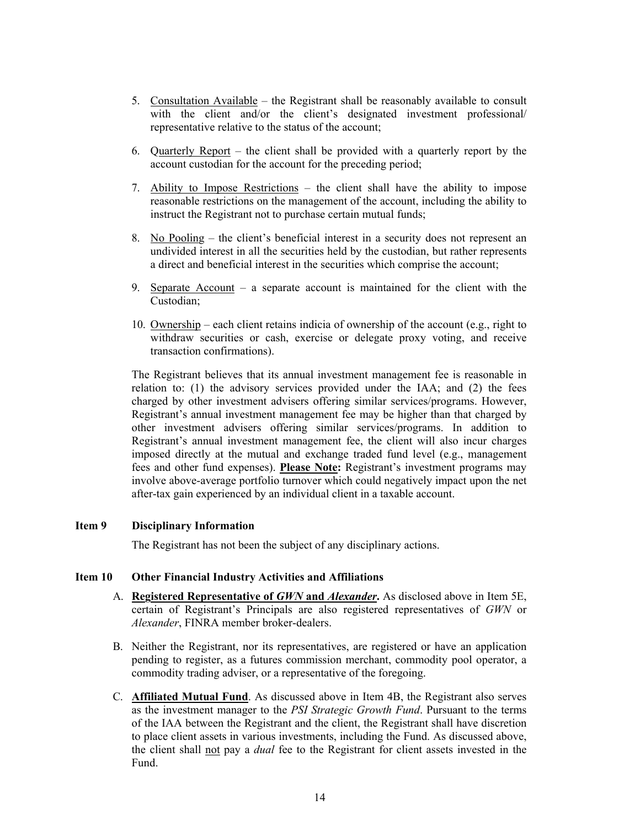- 5. Consultation Available the Registrant shall be reasonably available to consult with the client and/or the client's designated investment professional/ representative relative to the status of the account;
- 6. Quarterly Report the client shall be provided with a quarterly report by the account custodian for the account for the preceding period;
- 7. Ability to Impose Restrictions the client shall have the ability to impose reasonable restrictions on the management of the account, including the ability to instruct the Registrant not to purchase certain mutual funds;
- 8. No Pooling the client's beneficial interest in a security does not represent an undivided interest in all the securities held by the custodian, but rather represents a direct and beneficial interest in the securities which comprise the account;
- 9. Separate Account a separate account is maintained for the client with the Custodian;
- 10. Ownership each client retains indicia of ownership of the account (e.g., right to withdraw securities or cash, exercise or delegate proxy voting, and receive transaction confirmations).

The Registrant believes that its annual investment management fee is reasonable in relation to: (1) the advisory services provided under the IAA; and (2) the fees charged by other investment advisers offering similar services/programs. However, Registrant's annual investment management fee may be higher than that charged by other investment advisers offering similar services/programs. In addition to Registrant's annual investment management fee, the client will also incur charges imposed directly at the mutual and exchange traded fund level (e.g., management fees and other fund expenses). **Please Note:** Registrant's investment programs may involve above-average portfolio turnover which could negatively impact upon the net after-tax gain experienced by an individual client in a taxable account.

## **Item 9 Disciplinary Information**

The Registrant has not been the subject of any disciplinary actions.

#### **Item 10 Other Financial Industry Activities and Affiliations**

- A. **Registered Representative of** *GWN* **and** *Alexander***.** As disclosed above in Item 5E, certain of Registrant's Principals are also registered representatives of *GWN* or *Alexander*, FINRA member broker-dealers.
- B. Neither the Registrant, nor its representatives, are registered or have an application pending to register, as a futures commission merchant, commodity pool operator, a commodity trading adviser, or a representative of the foregoing.
- C. **Affiliated Mutual Fund**. As discussed above in Item 4B, the Registrant also serves as the investment manager to the *PSI Strategic Growth Fund*. Pursuant to the terms of the IAA between the Registrant and the client, the Registrant shall have discretion to place client assets in various investments, including the Fund. As discussed above, the client shall not pay a *dual* fee to the Registrant for client assets invested in the Fund.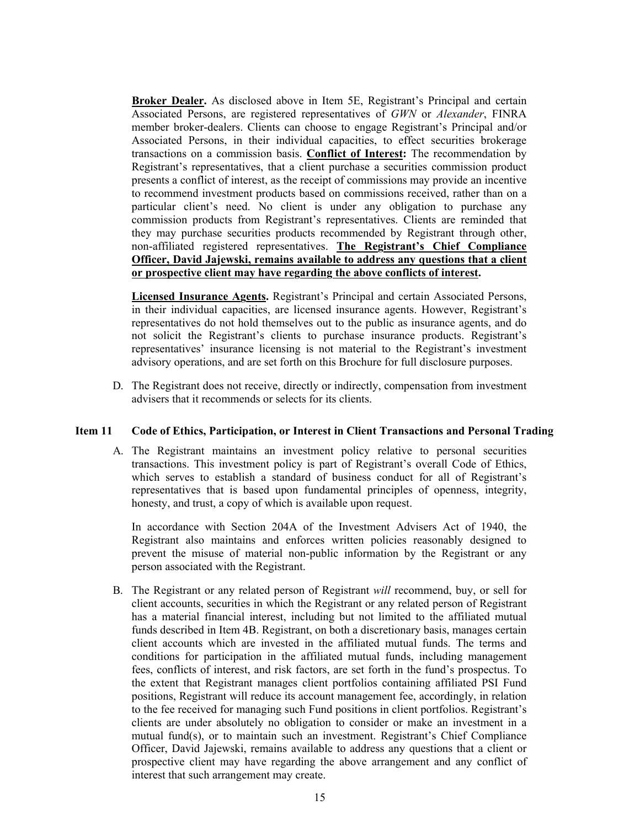**Broker Dealer.** As disclosed above in Item 5E, Registrant's Principal and certain Associated Persons, are registered representatives of *GWN* or *Alexander*, FINRA member broker-dealers. Clients can choose to engage Registrant's Principal and/or Associated Persons, in their individual capacities, to effect securities brokerage transactions on a commission basis. **Conflict of Interest:** The recommendation by Registrant's representatives, that a client purchase a securities commission product presents a conflict of interest, as the receipt of commissions may provide an incentive to recommend investment products based on commissions received, rather than on a particular client's need. No client is under any obligation to purchase any commission products from Registrant's representatives. Clients are reminded that they may purchase securities products recommended by Registrant through other, non-affiliated registered representatives. **The Registrant's Chief Compliance Officer, David Jajewski, remains available to address any questions that a client or prospective client may have regarding the above conflicts of interest.**

**Licensed Insurance Agents.** Registrant's Principal and certain Associated Persons, in their individual capacities, are licensed insurance agents. However, Registrant's representatives do not hold themselves out to the public as insurance agents, and do not solicit the Registrant's clients to purchase insurance products. Registrant's representatives' insurance licensing is not material to the Registrant's investment advisory operations, and are set forth on this Brochure for full disclosure purposes.

D. The Registrant does not receive, directly or indirectly, compensation from investment advisers that it recommends or selects for its clients.

#### **Item 11 Code of Ethics, Participation, or Interest in Client Transactions and Personal Trading**

A. The Registrant maintains an investment policy relative to personal securities transactions. This investment policy is part of Registrant's overall Code of Ethics, which serves to establish a standard of business conduct for all of Registrant's representatives that is based upon fundamental principles of openness, integrity, honesty, and trust, a copy of which is available upon request.

In accordance with Section 204A of the Investment Advisers Act of 1940, the Registrant also maintains and enforces written policies reasonably designed to prevent the misuse of material non-public information by the Registrant or any person associated with the Registrant.

B. The Registrant or any related person of Registrant *will* recommend, buy, or sell for client accounts, securities in which the Registrant or any related person of Registrant has a material financial interest, including but not limited to the affiliated mutual funds described in Item 4B. Registrant, on both a discretionary basis, manages certain client accounts which are invested in the affiliated mutual funds. The terms and conditions for participation in the affiliated mutual funds, including management fees, conflicts of interest, and risk factors, are set forth in the fund's prospectus. To the extent that Registrant manages client portfolios containing affiliated PSI Fund positions, Registrant will reduce its account management fee, accordingly, in relation to the fee received for managing such Fund positions in client portfolios. Registrant's clients are under absolutely no obligation to consider or make an investment in a mutual fund(s), or to maintain such an investment. Registrant's Chief Compliance Officer, David Jajewski, remains available to address any questions that a client or prospective client may have regarding the above arrangement and any conflict of interest that such arrangement may create.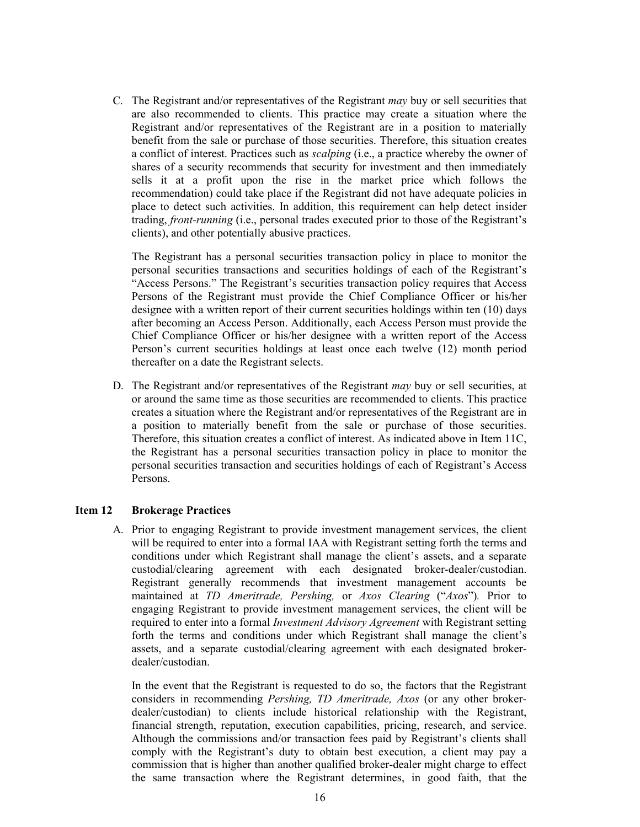C. The Registrant and/or representatives of the Registrant *may* buy or sell securities that are also recommended to clients. This practice may create a situation where the Registrant and/or representatives of the Registrant are in a position to materially benefit from the sale or purchase of those securities. Therefore, this situation creates a conflict of interest. Practices such as *scalping* (i.e., a practice whereby the owner of shares of a security recommends that security for investment and then immediately sells it at a profit upon the rise in the market price which follows the recommendation) could take place if the Registrant did not have adequate policies in place to detect such activities. In addition, this requirement can help detect insider trading, *front-running* (i.e., personal trades executed prior to those of the Registrant's clients), and other potentially abusive practices.

The Registrant has a personal securities transaction policy in place to monitor the personal securities transactions and securities holdings of each of the Registrant's "Access Persons." The Registrant's securities transaction policy requires that Access Persons of the Registrant must provide the Chief Compliance Officer or his/her designee with a written report of their current securities holdings within ten (10) days after becoming an Access Person. Additionally, each Access Person must provide the Chief Compliance Officer or his/her designee with a written report of the Access Person's current securities holdings at least once each twelve (12) month period thereafter on a date the Registrant selects.

D. The Registrant and/or representatives of the Registrant *may* buy or sell securities, at or around the same time as those securities are recommended to clients. This practice creates a situation where the Registrant and/or representatives of the Registrant are in a position to materially benefit from the sale or purchase of those securities. Therefore, this situation creates a conflict of interest. As indicated above in Item 11C, the Registrant has a personal securities transaction policy in place to monitor the personal securities transaction and securities holdings of each of Registrant's Access Persons.

## **Item 12 Brokerage Practices**

A. Prior to engaging Registrant to provide investment management services, the client will be required to enter into a formal IAA with Registrant setting forth the terms and conditions under which Registrant shall manage the client's assets, and a separate custodial/clearing agreement with each designated broker-dealer/custodian. Registrant generally recommends that investment management accounts be maintained at *TD Ameritrade, Pershing,* or *Axos Clearing* ("*Axos*")*.* Prior to engaging Registrant to provide investment management services, the client will be required to enter into a formal *Investment Advisory Agreement* with Registrant setting forth the terms and conditions under which Registrant shall manage the client's assets, and a separate custodial/clearing agreement with each designated brokerdealer/custodian.

In the event that the Registrant is requested to do so, the factors that the Registrant considers in recommending *Pershing, TD Ameritrade, Axos* (or any other brokerdealer/custodian) to clients include historical relationship with the Registrant, financial strength, reputation, execution capabilities, pricing, research, and service. Although the commissions and/or transaction fees paid by Registrant's clients shall comply with the Registrant's duty to obtain best execution, a client may pay a commission that is higher than another qualified broker-dealer might charge to effect the same transaction where the Registrant determines, in good faith, that the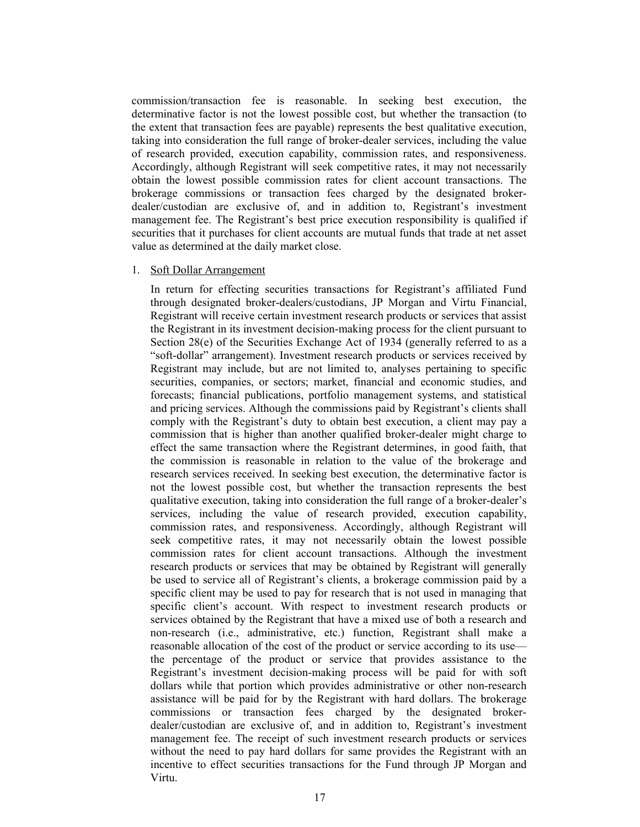commission/transaction fee is reasonable. In seeking best execution, the determinative factor is not the lowest possible cost, but whether the transaction (to the extent that transaction fees are payable) represents the best qualitative execution, taking into consideration the full range of broker-dealer services, including the value of research provided, execution capability, commission rates, and responsiveness. Accordingly, although Registrant will seek competitive rates, it may not necessarily obtain the lowest possible commission rates for client account transactions. The brokerage commissions or transaction fees charged by the designated brokerdealer/custodian are exclusive of, and in addition to, Registrant's investment management fee. The Registrant's best price execution responsibility is qualified if securities that it purchases for client accounts are mutual funds that trade at net asset value as determined at the daily market close.

#### 1. Soft Dollar Arrangement

In return for effecting securities transactions for Registrant's affiliated Fund through designated broker-dealers/custodians, JP Morgan and Virtu Financial, Registrant will receive certain investment research products or services that assist the Registrant in its investment decision-making process for the client pursuant to Section  $28(e)$  of the Securities Exchange Act of 1934 (generally referred to as a "soft-dollar" arrangement). Investment research products or services received by Registrant may include, but are not limited to, analyses pertaining to specific securities, companies, or sectors; market, financial and economic studies, and forecasts; financial publications, portfolio management systems, and statistical and pricing services. Although the commissions paid by Registrant's clients shall comply with the Registrant's duty to obtain best execution, a client may pay a commission that is higher than another qualified broker-dealer might charge to effect the same transaction where the Registrant determines, in good faith, that the commission is reasonable in relation to the value of the brokerage and research services received. In seeking best execution, the determinative factor is not the lowest possible cost, but whether the transaction represents the best qualitative execution, taking into consideration the full range of a broker-dealer's services, including the value of research provided, execution capability, commission rates, and responsiveness. Accordingly, although Registrant will seek competitive rates, it may not necessarily obtain the lowest possible commission rates for client account transactions. Although the investment research products or services that may be obtained by Registrant will generally be used to service all of Registrant's clients, a brokerage commission paid by a specific client may be used to pay for research that is not used in managing that specific client's account. With respect to investment research products or services obtained by the Registrant that have a mixed use of both a research and non-research (i.e., administrative, etc.) function, Registrant shall make a reasonable allocation of the cost of the product or service according to its use the percentage of the product or service that provides assistance to the Registrant's investment decision-making process will be paid for with soft dollars while that portion which provides administrative or other non-research assistance will be paid for by the Registrant with hard dollars. The brokerage commissions or transaction fees charged by the designated brokerdealer/custodian are exclusive of, and in addition to, Registrant's investment management fee. The receipt of such investment research products or services without the need to pay hard dollars for same provides the Registrant with an incentive to effect securities transactions for the Fund through JP Morgan and Virtu.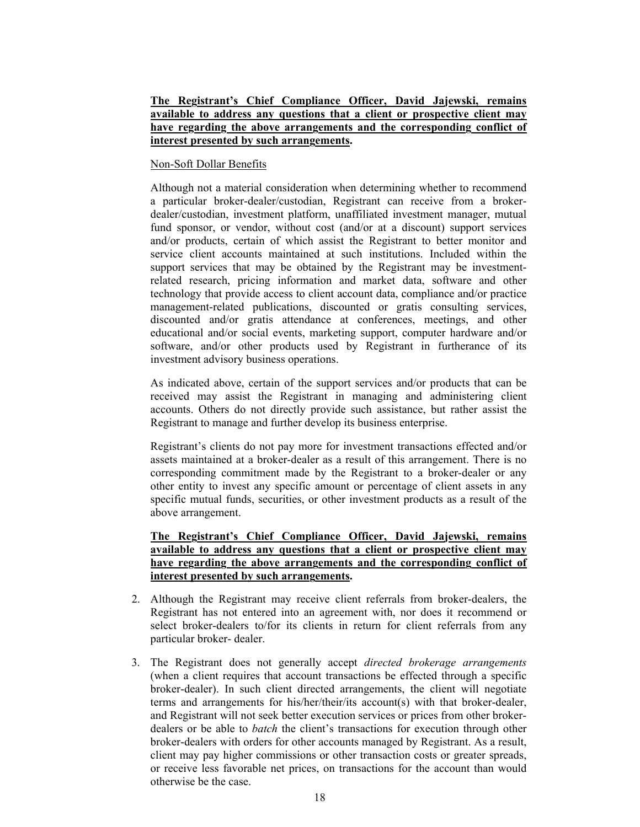## **The Registrant's Chief Compliance Officer, David Jajewski, remains available to address any questions that a client or prospective client may have regarding the above arrangements and the corresponding conflict of interest presented by such arrangements.**

#### Non-Soft Dollar Benefits

Although not a material consideration when determining whether to recommend a particular broker-dealer/custodian, Registrant can receive from a brokerdealer/custodian, investment platform, unaffiliated investment manager, mutual fund sponsor, or vendor, without cost (and/or at a discount) support services and/or products, certain of which assist the Registrant to better monitor and service client accounts maintained at such institutions. Included within the support services that may be obtained by the Registrant may be investmentrelated research, pricing information and market data, software and other technology that provide access to client account data, compliance and/or practice management-related publications, discounted or gratis consulting services, discounted and/or gratis attendance at conferences, meetings, and other educational and/or social events, marketing support, computer hardware and/or software, and/or other products used by Registrant in furtherance of its investment advisory business operations.

As indicated above, certain of the support services and/or products that can be received may assist the Registrant in managing and administering client accounts. Others do not directly provide such assistance, but rather assist the Registrant to manage and further develop its business enterprise.

Registrant's clients do not pay more for investment transactions effected and/or assets maintained at a broker-dealer as a result of this arrangement. There is no corresponding commitment made by the Registrant to a broker-dealer or any other entity to invest any specific amount or percentage of client assets in any specific mutual funds, securities, or other investment products as a result of the above arrangement.

**The Registrant's Chief Compliance Officer, David Jajewski, remains available to address any questions that a client or prospective client may have regarding the above arrangements and the corresponding conflict of interest presented by such arrangements.** 

- 2. Although the Registrant may receive client referrals from broker-dealers, the Registrant has not entered into an agreement with, nor does it recommend or select broker-dealers to/for its clients in return for client referrals from any particular broker- dealer.
- 3. The Registrant does not generally accept *directed brokerage arrangements* (when a client requires that account transactions be effected through a specific broker-dealer). In such client directed arrangements, the client will negotiate terms and arrangements for his/her/their/its account(s) with that broker-dealer, and Registrant will not seek better execution services or prices from other brokerdealers or be able to *batch* the client's transactions for execution through other broker-dealers with orders for other accounts managed by Registrant. As a result, client may pay higher commissions or other transaction costs or greater spreads, or receive less favorable net prices, on transactions for the account than would otherwise be the case.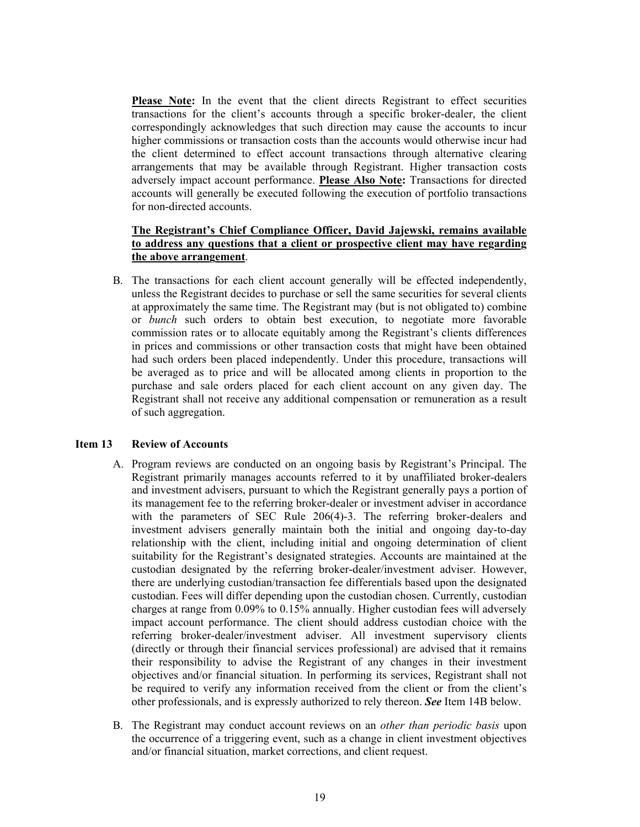**Please Note:** In the event that the client directs Registrant to effect securities transactions for the client's accounts through a specific broker-dealer, the client correspondingly acknowledges that such direction may cause the accounts to incur higher commissions or transaction costs than the accounts would otherwise incur had the client determined to effect account transactions through alternative clearing arrangements that may be available through Registrant. Higher transaction costs adversely impact account performance. **Please Also Note:** Transactions for directed accounts will generally be executed following the execution of portfolio transactions for non-directed accounts.

## **The Registrant's Chief Compliance Officer, David Jajewski, remains available to address any questions that a client or prospective client may have regarding the above arrangement**.

B. The transactions for each client account generally will be effected independently, unless the Registrant decides to purchase or sell the same securities for several clients at approximately the same time. The Registrant may (but is not obligated to) combine or *bunch* such orders to obtain best execution, to negotiate more favorable commission rates or to allocate equitably among the Registrant's clients differences in prices and commissions or other transaction costs that might have been obtained had such orders been placed independently. Under this procedure, transactions will be averaged as to price and will be allocated among clients in proportion to the purchase and sale orders placed for each client account on any given day. The Registrant shall not receive any additional compensation or remuneration as a result of such aggregation.

#### **Item 13 Review of Accounts**

- A. Program reviews are conducted on an ongoing basis by Registrant's Principal. The Registrant primarily manages accounts referred to it by unaffiliated broker-dealers and investment advisers, pursuant to which the Registrant generally pays a portion of its management fee to the referring broker-dealer or investment adviser in accordance with the parameters of SEC Rule 206(4)-3. The referring broker-dealers and investment advisers generally maintain both the initial and ongoing day-to-day relationship with the client, including initial and ongoing determination of client suitability for the Registrant's designated strategies. Accounts are maintained at the custodian designated by the referring broker-dealer/investment adviser. However, there are underlying custodian/transaction fee differentials based upon the designated custodian. Fees will differ depending upon the custodian chosen. Currently, custodian charges at range from 0.09% to 0.15% annually. Higher custodian fees will adversely impact account performance. The client should address custodian choice with the referring broker-dealer/investment adviser. All investment supervisory clients (directly or through their financial services professional) are advised that it remains their responsibility to advise the Registrant of any changes in their investment objectives and/or financial situation. In performing its services, Registrant shall not be required to verify any information received from the client or from the client's other professionals, and is expressly authorized to rely thereon. *See* Item 14B below.
- B. The Registrant may conduct account reviews on an *other than periodic basis* upon the occurrence of a triggering event, such as a change in client investment objectives and/or financial situation, market corrections, and client request.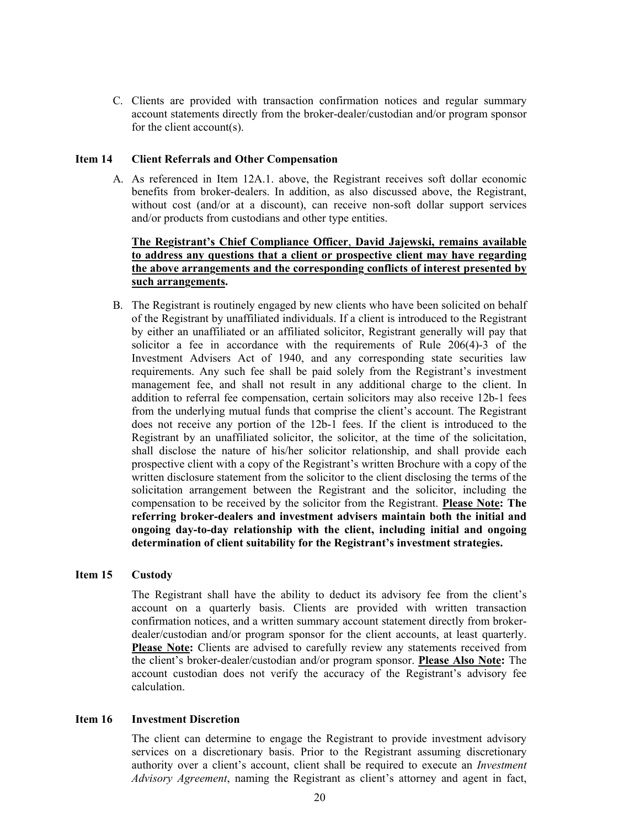C. Clients are provided with transaction confirmation notices and regular summary account statements directly from the broker-dealer/custodian and/or program sponsor for the client account(s).

#### **Item 14 Client Referrals and Other Compensation**

A. As referenced in Item 12A.1. above, the Registrant receives soft dollar economic benefits from broker-dealers. In addition, as also discussed above, the Registrant, without cost (and/or at a discount), can receive non-soft dollar support services and/or products from custodians and other type entities.

## **The Registrant's Chief Compliance Officer**, **David Jajewski, remains available to address any questions that a client or prospective client may have regarding the above arrangements and the corresponding conflicts of interest presented by such arrangements.**

B. The Registrant is routinely engaged by new clients who have been solicited on behalf of the Registrant by unaffiliated individuals. If a client is introduced to the Registrant by either an unaffiliated or an affiliated solicitor, Registrant generally will pay that solicitor a fee in accordance with the requirements of Rule 206(4)-3 of the Investment Advisers Act of 1940, and any corresponding state securities law requirements. Any such fee shall be paid solely from the Registrant's investment management fee, and shall not result in any additional charge to the client. In addition to referral fee compensation, certain solicitors may also receive 12b-1 fees from the underlying mutual funds that comprise the client's account. The Registrant does not receive any portion of the 12b-1 fees. If the client is introduced to the Registrant by an unaffiliated solicitor, the solicitor, at the time of the solicitation, shall disclose the nature of his/her solicitor relationship, and shall provide each prospective client with a copy of the Registrant's written Brochure with a copy of the written disclosure statement from the solicitor to the client disclosing the terms of the solicitation arrangement between the Registrant and the solicitor, including the compensation to be received by the solicitor from the Registrant. **Please Note: The referring broker-dealers and investment advisers maintain both the initial and ongoing day-to-day relationship with the client, including initial and ongoing determination of client suitability for the Registrant's investment strategies.** 

## **Item 15 Custody**

The Registrant shall have the ability to deduct its advisory fee from the client's account on a quarterly basis. Clients are provided with written transaction confirmation notices, and a written summary account statement directly from brokerdealer/custodian and/or program sponsor for the client accounts, at least quarterly. **Please Note:** Clients are advised to carefully review any statements received from the client's broker-dealer/custodian and/or program sponsor. **Please Also Note:** The account custodian does not verify the accuracy of the Registrant's advisory fee calculation.

#### **Item 16 Investment Discretion**

The client can determine to engage the Registrant to provide investment advisory services on a discretionary basis. Prior to the Registrant assuming discretionary authority over a client's account, client shall be required to execute an *Investment Advisory Agreement*, naming the Registrant as client's attorney and agent in fact,